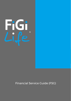

# Financial Service Guide (FSG)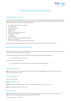

# FINANCIAL SERVICE GUIDE (FSG)

# THE PURPOSE OF THIS GUIDE

This Financial Services Guide (FSG) is an important document designed to assist you in deciding whether to use any of the services offered by Future Insurance Group International Pty Ltd (FiGi Life), (ABN 68 619 183 149, AFSL 506558) and contains important information about:

- What financial services are provided
- Who we act for
- How to contact us
- **Our** products
- Retail clients
- Will you receive tailored advice?
- Personal information
- **Complaints**
- **Compensation**
- Electronic delivery of disclosure statements
- Our source of income
- How commissions and policy fees are calculated

Any reference to "us", "we" or "our" means Future Insurance Group International Pty Ltd (FiGi Life).

# WHAT FINANCIAL SERVICES DO we PROVIDE?

FiGi Life holds an Australian Financial Services License that allows us to provide general financial product advice to both retail and wholesale clients as follows:

(a) Provide general financial product advice for the following classes of financial products:

• General insurance products; and

(b) Deal in a financial product by:

• Issuing, applying for, acquiring, varying or disposing of a financial product.

### WHO DO WE ACT FOR?

We act as an underwriting agency on behalf of the insurer, however we are also here to provide a service, support and assistance to you.

# HOW TO CONTACT US

You can contact us by:

Email: [info@figilife.com.au;](mailto:info@figilife.com.au)

Phone: Request a Call Back via our Contact Us page on our website [www.figilife.com.au;](http://www.figilife.com.au/)

Post: PO Box 6479, Baulkham Hills, 2153

# OUR PRODUCTS

We provide a range of lifestyle related products that are designed to reimburse you towards some of the associated and unexpected expenses following a covered event.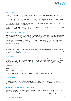

# RETAIL CLIENTS\*

Under the Corporations Act 2001 (The Act) Retail Clients are provided with additional protection from other clients. The Act defines Retail Clients as:

Individuals or a manufacturing business employing less than one-hundred (100) people or any other business employing less than twenty (20) people and that are purchasing the following types of insurance covers:

Motor vehicle, home building, contents, personal and domestic, sickness/accident/travel, consumer credit and other classes as prescribed by regulations.

Some of the information in this FSG only applies to Retail Clients and it is important that you understand if you are covered by the additional protection provided.

#### WILL YOU RECEIVE TAILORED ADVICE?

We only provide General Advice to our Retail Clients. General Advice does not take into account your particular needs and requirements and you should consider the appropriateness of this advice to your circumstances prior to acting upon it. We will provide you with a General Advice Warning in such cases.

If we recommend the purchase of a particular financial product, we will also give you a Product Disclosure Statement at that time, which sets out details specific to that product and the key benefits and risks in purchasing the product.

#### PERSONAL INFORMATION

The Privacy Act 1988 sets out standards for the collection and management of personal information. With your consent, we will only use your personal information for general insurance services. Our Customer Privacy Policy is available on our website www.figilife.com.au.

#### **COMPLAINTS**

If you are not satisfied with our services, you should contact our Complaints Officer in the first instance. If your complaint cannot be resolved to your satisfaction by us, you have the right to refer the matter to the Australian Financial Complaints Authority (AFCA). We are members of the AFCA, a free consumer service. Further information is available from our website www.figilife.com.au, or you can contact the AFCA directly as follows.

#### Website: [www.afca.org.au](http://www.afca.org.au/)

Email[: info@afca.org.au](mailto:info@afca.org.au)

Telephone: 1800 931 678 (free call)

In writing to: Australian Financial Complaints Authority, GPO Box 3, Melbourne VIC 3001

# **COMPENSATION**

We hold a Professional Indemnity Insurance Policy. This policy covers us and our employees for claims made against us as a result of the conduct or professional negligence of us or our employees in the provision of financial services. This policy satisfies the requirements for compensation arrangements under Section 912B of The Act.

#### ELECTRONIC DELIVERY OF DISCLOSURE NOTICES

Please note that where possible we prefer to provide all correspondence and disclosure notices (including Financial Service Guides and Product Disclosure Statements) to you electronically, via email attachments or email links to documents/websites etc. If you have provided your email address to us, we will typically use that